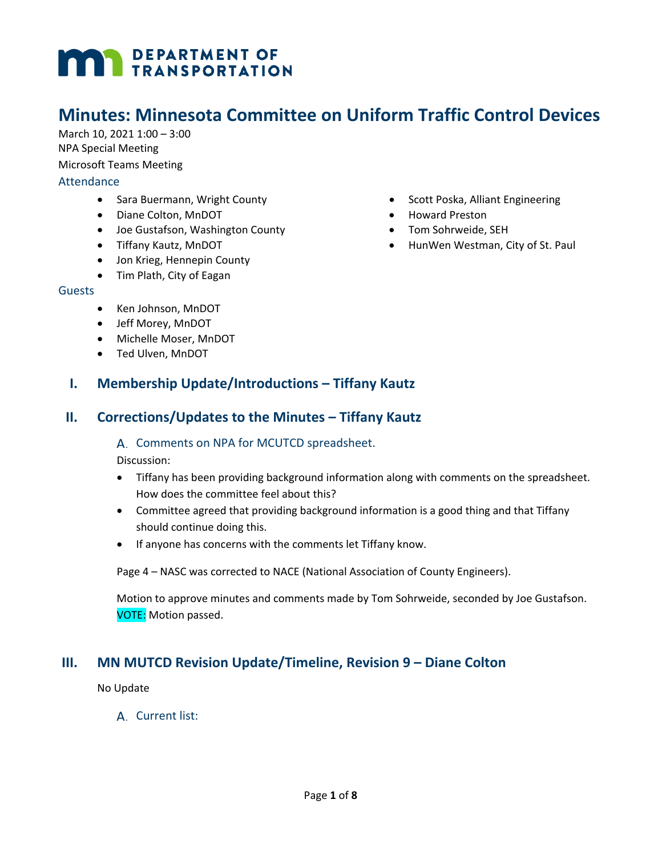# **MAY DEPARTMENT OF TRANSPORTATION**

# **Minutes: Minnesota Committee on Uniform Traffic Control Devices**

March 10, 2021 1:00 – 3:00 NPA Special Meeting Microsoft Teams Meeting Attendance

- Sara Buermann, Wright County
- Diane Colton, MnDOT
- Joe Gustafson, Washington County
- Tiffany Kautz, MnDOT
- Jon Krieg, Hennepin County
- Tim Plath, City of Eagan

#### Guests

- Ken Johnson, MnDOT
- Jeff Morey, MnDOT
- Michelle Moser, MnDOT
- Ted Ulven, MnDOT
- Scott Poska, Alliant Engineering
- Howard Preston
- Tom Sohrweide, SEH
- HunWen Westman, City of St. Paul

## **I. Membership Update/Introductions – Tiffany Kautz**

### **II. Corrections/Updates to the Minutes – Tiffany Kautz**

#### A. Comments on NPA for MCUTCD spreadsheet.

Discussion:

- Tiffany has been providing background information along with comments on the spreadsheet. How does the committee feel about this?
- Committee agreed that providing background information is a good thing and that Tiffany should continue doing this.
- If anyone has concerns with the comments let Tiffany know.

Page 4 – NASC was corrected to NACE (National Association of County Engineers).

Motion to approve minutes and comments made by Tom Sohrweide, seconded by Joe Gustafson. VOTE: Motion passed.

## **III. MN MUTCD Revision Update/Timeline, Revision 9 – Diane Colton**

No Update

A. Current list: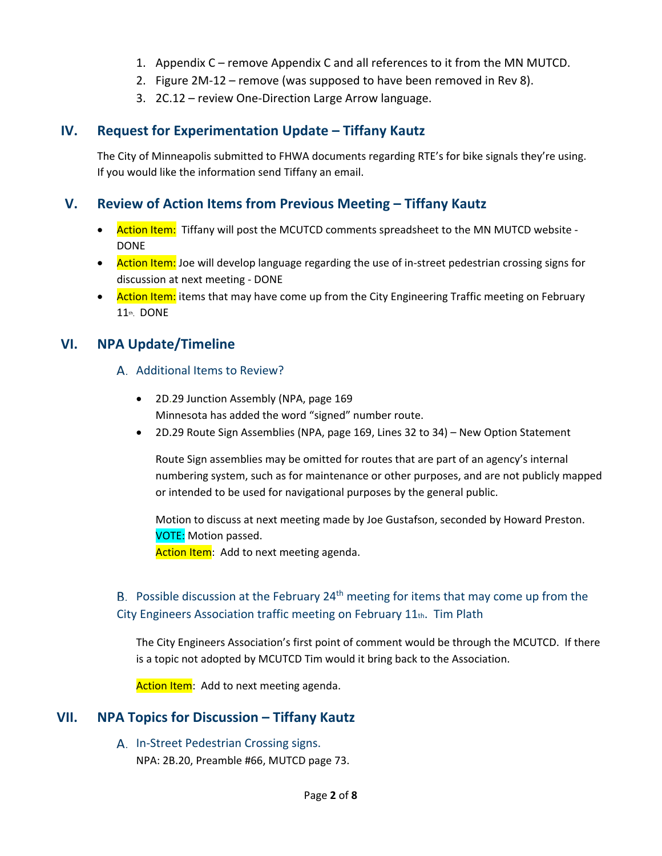- 1. Appendix C remove Appendix C and all references to it from the MN MUTCD.
- 2. Figure 2M-12 remove (was supposed to have been removed in Rev 8).
- 3. 2C.12 review One-Direction Large Arrow language.

## **IV. Request for Experimentation Update – Tiffany Kautz**

The City of Minneapolis submitted to FHWA documents regarding RTE's for bike signals they're using. If you would like the information send Tiffany an email.

## **V. Review of Action Items from Previous Meeting – Tiffany Kautz**

- Action Item: Tiffany will post the MCUTCD comments spreadsheet to the MN MUTCD website -DONE
- Action Item: Joe will develop language regarding the use of in-street pedestrian crossing signs for discussion at next meeting - DONE
- Action Item: items that may have come up from the City Engineering Traffic meeting on February 11th. DONE

## **VI. NPA Update/Timeline**

#### A. Additional Items to Review?

- 2D.29 Junction Assembly (NPA, page 169 Minnesota has added the word "signed" number route.
- 2D.29 Route Sign Assemblies (NPA, page 169, Lines 32 to 34) New Option Statement

Route Sign assemblies may be omitted for routes that are part of an agency's internal numbering system, such as for maintenance or other purposes, and are not publicly mapped or intended to be used for navigational purposes by the general public.

Motion to discuss at next meeting made by Joe Gustafson, seconded by Howard Preston. VOTE: Motion passed. Action Item: Add to next meeting agenda.

## B. Possible discussion at the February  $24<sup>th</sup>$  meeting for items that may come up from the City Engineers Association traffic meeting on February 11th. Tim Plath

The City Engineers Association's first point of comment would be through the MCUTCD. If there is a topic not adopted by MCUTCD Tim would it bring back to the Association.

Action Item: Add to next meeting agenda.

## **VII. NPA Topics for Discussion – Tiffany Kautz**

A. In-Street Pedestrian Crossing signs. NPA: 2B.20, Preamble #66, MUTCD page 73.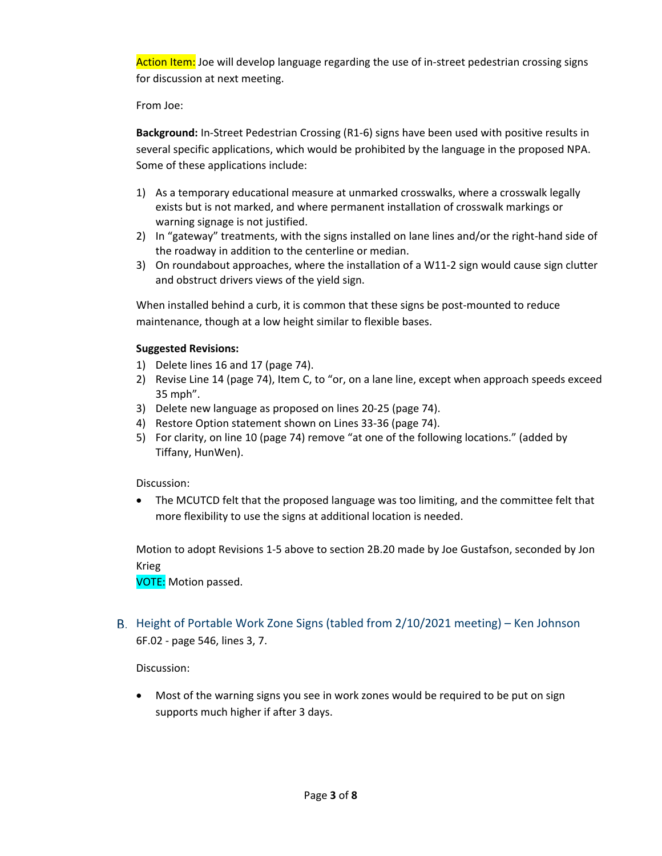Action Item: Joe will develop language regarding the use of in-street pedestrian crossing signs for discussion at next meeting.

From Joe:

**Background:** In-Street Pedestrian Crossing (R1-6) signs have been used with positive results in several specific applications, which would be prohibited by the language in the proposed NPA. Some of these applications include:

- 1) As a temporary educational measure at unmarked crosswalks, where a crosswalk legally exists but is not marked, and where permanent installation of crosswalk markings or warning signage is not justified.
- 2) In "gateway" treatments, with the signs installed on lane lines and/or the right-hand side of the roadway in addition to the centerline or median.
- 3) On roundabout approaches, where the installation of a W11-2 sign would cause sign clutter and obstruct drivers views of the yield sign.

When installed behind a curb, it is common that these signs be post-mounted to reduce maintenance, though at a low height similar to flexible bases.

#### **Suggested Revisions:**

- 1) Delete lines 16 and 17 (page 74).
- 2) Revise Line 14 (page 74), Item C, to "or, on a lane line, except when approach speeds exceed 35 mph".
- 3) Delete new language as proposed on lines 20-25 (page 74).
- 4) Restore Option statement shown on Lines 33-36 (page 74).
- 5) For clarity, on line 10 (page 74) remove "at one of the following locations." (added by Tiffany, HunWen).

Discussion:

• The MCUTCD felt that the proposed language was too limiting, and the committee felt that more flexibility to use the signs at additional location is needed.

Motion to adopt Revisions 1-5 above to section 2B.20 made by Joe Gustafson, seconded by Jon Krieg

VOTE: Motion passed.

B. Height of Portable Work Zone Signs (tabled from 2/10/2021 meeting) – Ken Johnson 6F.02 - page 546, lines 3, 7.

Discussion:

• Most of the warning signs you see in work zones would be required to be put on sign supports much higher if after 3 days.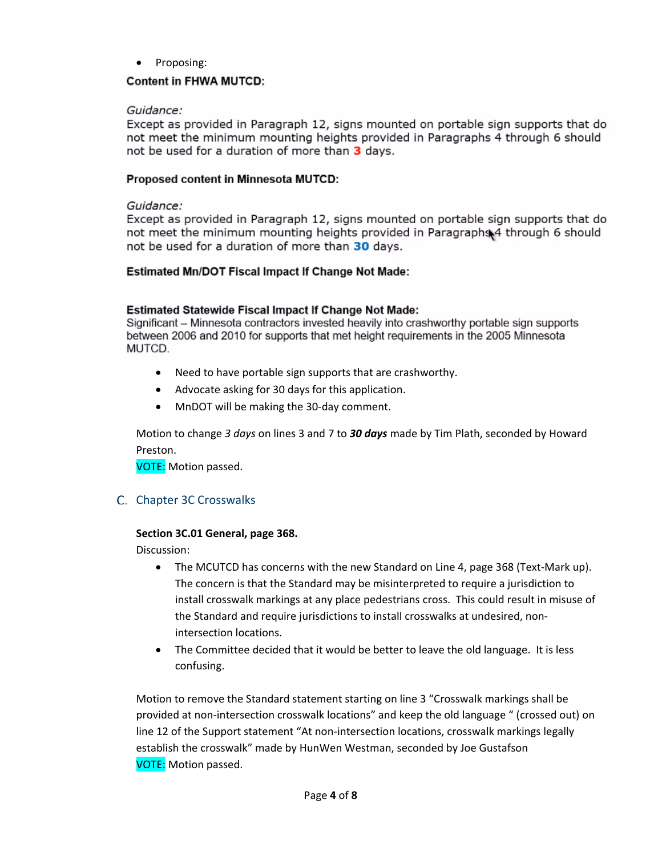• Proposing:

#### **Content in FHWA MUTCD:**

#### Guidance:

Except as provided in Paragraph 12, signs mounted on portable sign supports that do not meet the minimum mounting heights provided in Paragraphs 4 through 6 should not be used for a duration of more than 3 days.

#### Proposed content in Minnesota MUTCD:

#### Guidance:

Except as provided in Paragraph 12, signs mounted on portable sign supports that do not meet the minimum mounting heights provided in Paragraphs 4 through 6 should not be used for a duration of more than 30 days.

#### **Estimated Mn/DOT Fiscal Impact If Change Not Made:**

#### **Estimated Statewide Fiscal Impact If Change Not Made:**

Significant – Minnesota contractors invested heavily into crashworthy portable sign supports between 2006 and 2010 for supports that met height requirements in the 2005 Minnesota MUTCD.

- Need to have portable sign supports that are crashworthy.
- Advocate asking for 30 days for this application.
- MnDOT will be making the 30-day comment.

Motion to change *3 days* on lines 3 and 7 to *30 days* made by Tim Plath, seconded by Howard Preston.

VOTE: Motion passed.

#### C. Chapter 3C Crosswalks

#### **Section 3C.01 General, page 368.**

Discussion:

- The MCUTCD has concerns with the new Standard on Line 4, page 368 (Text-Mark up). The concern is that the Standard may be misinterpreted to require a jurisdiction to install crosswalk markings at any place pedestrians cross. This could result in misuse of the Standard and require jurisdictions to install crosswalks at undesired, nonintersection locations.
- The Committee decided that it would be better to leave the old language. It is less confusing.

Motion to remove the Standard statement starting on line 3 "Crosswalk markings shall be provided at non-intersection crosswalk locations" and keep the old language " (crossed out) on line 12 of the Support statement "At non-intersection locations, crosswalk markings legally establish the crosswalk" made by HunWen Westman, seconded by Joe Gustafson VOTE: Motion passed.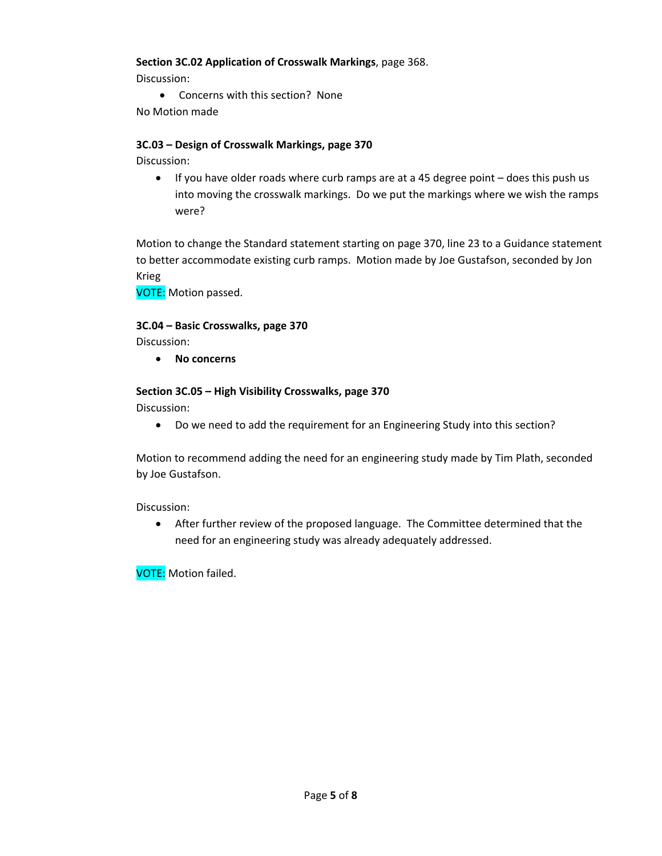#### **Section 3C.02 Application of Crosswalk Markings**, page 368.

Discussion:

• Concerns with this section? None No Motion made

## **3C.03 – Design of Crosswalk Markings, page 370**

Discussion:

• If you have older roads where curb ramps are at a 45 degree point – does this push us into moving the crosswalk markings. Do we put the markings where we wish the ramps were?

Motion to change the Standard statement starting on page 370, line 23 to a Guidance statement to better accommodate existing curb ramps. Motion made by Joe Gustafson, seconded by Jon Krieg

VOTE: Motion passed.

#### **3C.04 – Basic Crosswalks, page 370**

Discussion:

• **No concerns**

#### **Section 3C.05 – High Visibility Crosswalks, page 370**

Discussion:

• Do we need to add the requirement for an Engineering Study into this section?

Motion to recommend adding the need for an engineering study made by Tim Plath, seconded by Joe Gustafson.

Discussion:

• After further review of the proposed language. The Committee determined that the need for an engineering study was already adequately addressed.

VOTE: Motion failed.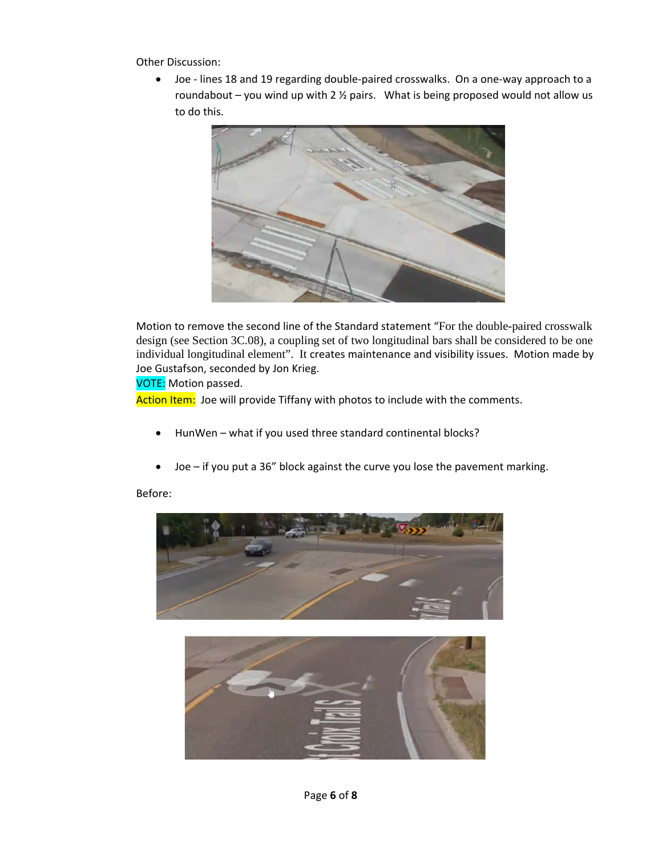Other Discussion:

• Joe - lines 18 and 19 regarding double-paired crosswalks. On a one-way approach to a roundabout – you wind up with 2  $\frac{1}{2}$  pairs. What is being proposed would not allow us to do this.



Motion to remove the second line of the Standard statement "For the double-paired crosswalk design (see Section 3C.08), a coupling set of two longitudinal bars shall be considered to be one individual longitudinal element". It creates maintenance and visibility issues. Motion made by Joe Gustafson, seconded by Jon Krieg.

VOTE: Motion passed.

Action Item: Joe will provide Tiffany with photos to include with the comments.

- HunWen what if you used three standard continental blocks?
- Joe if you put a 36" block against the curve you lose the pavement marking.

#### Before:



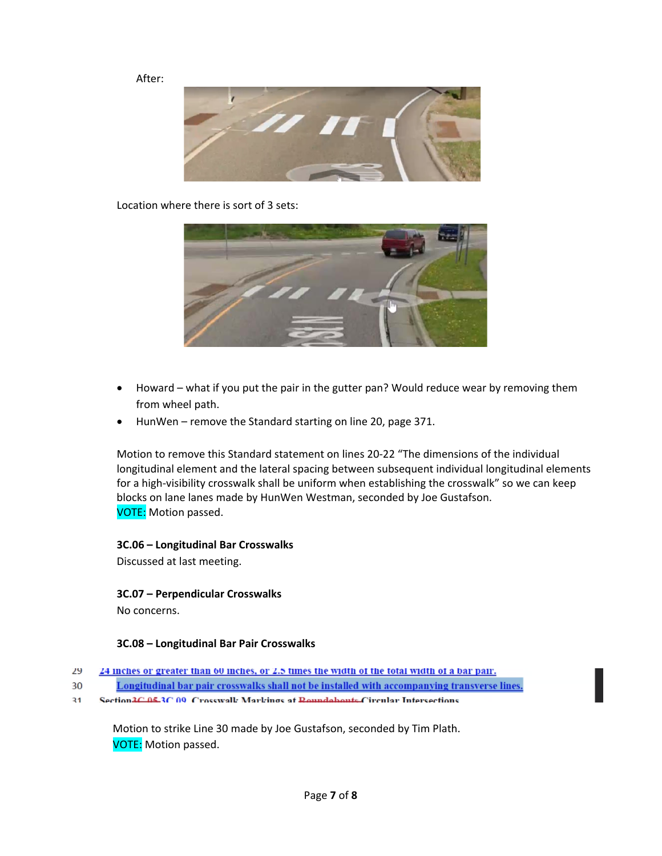After:



Location where there is sort of 3 sets:



- Howard what if you put the pair in the gutter pan? Would reduce wear by removing them from wheel path.
- HunWen remove the Standard starting on line 20, page 371.

Motion to remove this Standard statement on lines 20-22 "The dimensions of the individual longitudinal element and the lateral spacing between subsequent individual longitudinal elements for a high-visibility crosswalk shall be uniform when establishing the crosswalk" so we can keep blocks on lane lanes made by HunWen Westman, seconded by Joe Gustafson. VOTE: Motion passed.

#### **3C.06 – Longitudinal Bar Crosswalks**

Discussed at last meeting.

#### **3C.07 – Perpendicular Crosswalks**

No concerns.

#### **3C.08 – Longitudinal Bar Pair Crosswalks**

- 29 24 inches or greater than 60 inches, or 2.5 times the width of the total width of a bar pair.
- Longitudinal bar pair crosswalks shall not be installed with accompanying transverse lines. 30
- Section 2C 05.3C 00 Crosswall: Marlzings at Roundabouts Circular Intersections  $31$

Motion to strike Line 30 made by Joe Gustafson, seconded by Tim Plath. VOTE: Motion passed.